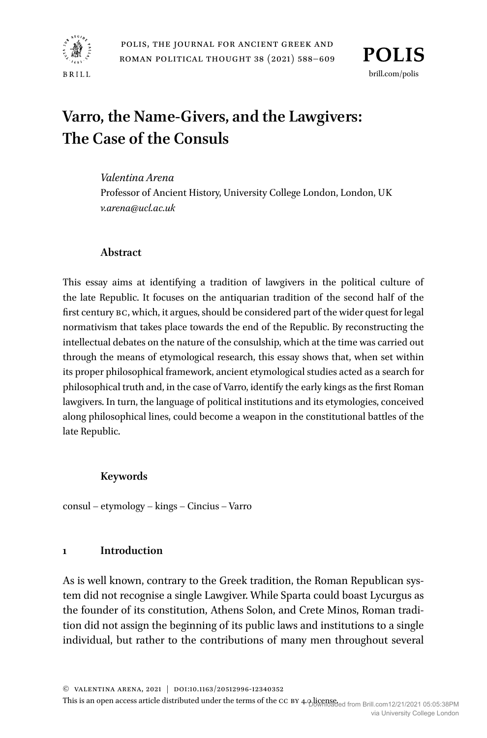

# **Varro, the Name-Givers, and the Lawgivers: The Case of the Consuls**

### *Valentina Arena*

Professor of Ancient History, University College London, London, UK *[v.arena@ucl.ac.uk](mailto:v.arena@ucl.ac.uk)*

## **Abstract**

This essay aims at identifying a tradition of lawgivers in the political culture of the late Republic. It focuses on the antiquarian tradition of the second half of the first century BC, which, it argues, should be considered part of the wider quest for legal normativism that takes place towards the end of the Republic. By reconstructing the intellectual debates on the nature of the consulship, which at the time was carried out through the means of etymological research, this essay shows that, when set within its proper philosophical framework, ancient etymological studies acted as a search for philosophical truth and, in the case of Varro, identify the early kings as the first Roman lawgivers. In turn, the language of political institutions and its etymologies, conceived along philosophical lines, could become a weapon in the constitutional battles of the late Republic.

# **Keywords**

consul – etymology – kings – Cincius – Varro

### **1 Introduction**

As is well known, contrary to the Greek tradition, the Roman Republican system did not recognise a single Lawgiver. While Sparta could boast Lycurgus as the founder of its constitution, Athens Solon, and Crete Minos, Roman tradition did not assign the beginning of its public laws and institutions to a single individual, but rather to the contributions of many men throughout several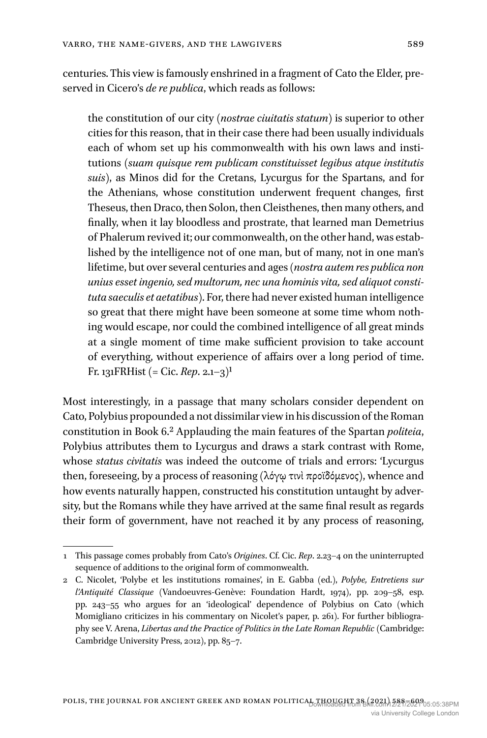centuries. This view is famously enshrined in a fragment of Cato the Elder, preserved in Cicero's *de re publica*, which reads as follows:

the constitution of our city (*nostrae ciuitatis statum*) is superior to other cities for this reason, that in their case there had been usually individuals each of whom set up his commonwealth with his own laws and institutions (*suam quisque rem publicam constituisset legibus atque institutis suis*), as Minos did for the Cretans, Lycurgus for the Spartans, and for the Athenians, whose constitution underwent frequent changes, first Theseus, then Draco, then Solon, then Cleisthenes, then many others, and finally, when it lay bloodless and prostrate, that learned man Demetrius of Phalerum revived it; our commonwealth, on the other hand, was established by the intelligence not of one man, but of many, not in one man's lifetime, but over several centuries and ages (*nostra autem res publica non unius esset ingenio, sed multorum, nec una hominis vita, sed aliquot constituta saeculis et aetatibus*). For, there had never existed human intelligence so great that there might have been someone at some time whom nothing would escape, nor could the combined intelligence of all great minds at a single moment of time make sufficient provision to take account of everything, without experience of affairs over a long period of time. Fr. 131FRHist (= Cic. *Rep*. 2.1–3)1

Most interestingly, in a passage that many scholars consider dependent on Cato, Polybius propounded a not dissimilar view in his discussion of the Roman constitution in Book 6.2 Applauding the main features of the Spartan *politeia*, Polybius attributes them to Lycurgus and draws a stark contrast with Rome, whose *status civitatis* was indeed the outcome of trials and errors: 'Lycurgus then, foreseeing, by a process of reasoning (λόγῳ τινὶ προϊδόμενος), whence and how events naturally happen, constructed his constitution untaught by adversity, but the Romans while they have arrived at the same final result as regards their form of government, have not reached it by any process of reasoning,

<sup>1</sup> This passage comes probably from Cato's *Origines*. Cf. Cic. *Rep*. 2.23–4 on the uninterrupted sequence of additions to the original form of commonwealth.

<sup>2</sup> C. Nicolet, 'Polybe et les institutions romaines', in E. Gabba (ed.), *Polybe, Entretiens sur l'Antiquité Classique* (Vandoeuvres-Genève: Foundation Hardt, 1974), pp. 209–58, esp. pp. 243–55 who argues for an 'ideological' dependence of Polybius on Cato (which Momigliano criticizes in his commentary on Nicolet's paper, p. 261). For further bibliography see V. Arena, *Libertas and the Practice of Politics in the Late Roman Republic* (Cambridge: Cambridge University Press, 2012), pp. 85–7.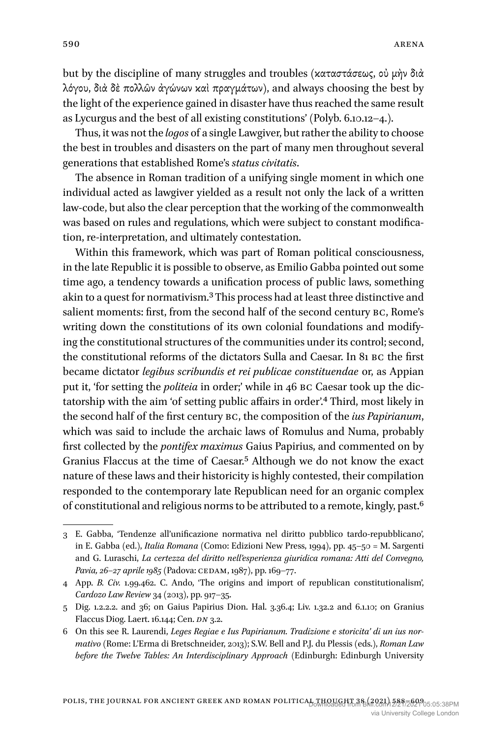but by the discipline of many struggles and troubles (καταστάσεως, οὐ μὴν διὰ λόγου, διὰ δὲ πολλῶν ἀγώνων καὶ πραγμάτων), and always choosing the best by the light of the experience gained in disaster have thus reached the same result as Lycurgus and the best of all existing constitutions' (Polyb. 6.10.12–4.).

Thus, it was not the *logos* of a single Lawgiver, but rather the ability to choose the best in troubles and disasters on the part of many men throughout several generations that established Rome's *status civitatis*.

The absence in Roman tradition of a unifying single moment in which one individual acted as lawgiver yielded as a result not only the lack of a written law-code, but also the clear perception that the working of the commonwealth was based on rules and regulations, which were subject to constant modification, re-interpretation, and ultimately contestation.

Within this framework, which was part of Roman political consciousness, in the late Republic it is possible to observe, as Emilio Gabba pointed out some time ago, a tendency towards a unification process of public laws, something akin to a quest for normativism.3 This process had at least three distinctive and salient moments: first, from the second half of the second century BC, Rome's writing down the constitutions of its own colonial foundations and modifying the constitutional structures of the communities under its control; second, the constitutional reforms of the dictators Sulla and Caesar. In 81 BC the first became dictator *legibus scribundis et rei publicae constituendae* or, as Appian put it, 'for setting the *politeia* in order;' while in 46 BC Caesar took up the dictatorship with the aim 'of setting public affairs in order'.4 Third, most likely in the second half of the first century BC, the composition of the *ius Papirianum*, which was said to include the archaic laws of Romulus and Numa, probably first collected by the *pontifex maximus* Gaius Papirius, and commented on by Granius Flaccus at the time of Caesar.5 Although we do not know the exact nature of these laws and their historicity is highly contested, their compilation responded to the contemporary late Republican need for an organic complex of constitutional and religious norms to be attributed to a remote, kingly, past.6

<sup>3</sup> E. Gabba, 'Tendenze all'unificazione normativa nel diritto pubblico tardo-repubblicano', in E. Gabba (ed.), *Italia Romana* (Como: Edizioni New Press, 1994), pp. 45–50 = M. Sargenti and G. Luraschi, *La certezza del diritto nell'esperienza giuridica romana: Atti del Convegno, Pavia, 26–27 aprile 1985* (Padova: CEDAM, 1987), pp. 169–77.

<sup>4</sup> App. *B. Civ.* 1.99.462. C. Ando, 'The origins and import of republican constitutionalism', *Cardozo Law Review* 34 (2013), pp. 917–35.

<sup>5</sup> Dig. 1.2.2.2. and 36; on Gaius Papirius Dion. Hal. 3.36.4; Liv. 1.32.2 and 6.1.10; on Granius Flaccus Diog. Laert. 16.144; Cen. *DN* 3.2.

<sup>6</sup> On this see R. Laurendi, *Leges Regiae e Ius Papirianum. Tradizione e storicita' di un ius normativo* (Rome: L'Erma di Bretschneider, 2013); S.W. Bell and P.J. du Plessis (eds.), *Roman Law before the Twelve Tables: An Interdisciplinary Approach* (Edinburgh: Edinburgh University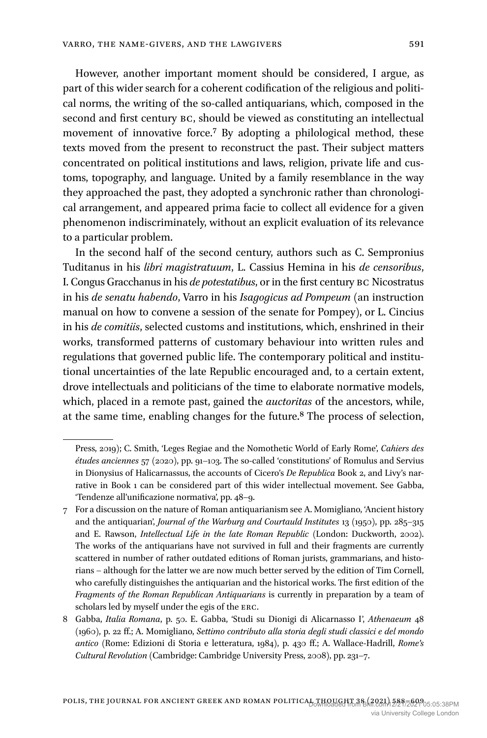However, another important moment should be considered, I argue, as part of this wider search for a coherent codification of the religious and political norms, the writing of the so-called antiquarians, which, composed in the second and first century BC, should be viewed as constituting an intellectual movement of innovative force.7 By adopting a philological method, these texts moved from the present to reconstruct the past. Their subject matters concentrated on political institutions and laws, religion, private life and customs, topography, and language. United by a family resemblance in the way they approached the past, they adopted a synchronic rather than chronological arrangement, and appeared prima facie to collect all evidence for a given phenomenon indiscriminately, without an explicit evaluation of its relevance to a particular problem.

In the second half of the second century, authors such as C. Sempronius Tuditanus in his *libri magistratuum*, L. Cassius Hemina in his *de censoribus*, I. Congus Gracchanus in his *de potestatibus*, or in the first century BC Nicostratus in his *de senatu habendo*, Varro in his *Isagogicus ad Pompeum* (an instruction manual on how to convene a session of the senate for Pompey), or L. Cincius in his *de comitiis*, selected customs and institutions, which, enshrined in their works, transformed patterns of customary behaviour into written rules and regulations that governed public life. The contemporary political and institutional uncertainties of the late Republic encouraged and, to a certain extent, drove intellectuals and politicians of the time to elaborate normative models, which, placed in a remote past, gained the *auctoritas* of the ancestors, while, at the same time, enabling changes for the future.8 The process of selection,

Press, 2019); C. Smith, 'Leges Regiae and the Nomothetic World of Early Rome', *Cahiers des études anciennes* 57 (2020), pp. 91–103. The so-called 'constitutions' of Romulus and Servius in Dionysius of Halicarnassus, the accounts of Cicero's *De Republica* Book 2, and Livy's narrative in Book 1 can be considered part of this wider intellectual movement. See Gabba, 'Tendenze all'unificazione normativa', pp. 48–9.

<sup>7</sup> For a discussion on the nature of Roman antiquarianism see A. Momigliano, 'Ancient history and the antiquarian', *Journal of the Warburg and Courtauld Institutes* 13 (1950), pp. 285–315 and E. Rawson, *Intellectual Life in the late Roman Republic* (London: Duckworth, 2002). The works of the antiquarians have not survived in full and their fragments are currently scattered in number of rather outdated editions of Roman jurists, grammarians, and historians – although for the latter we are now much better served by the edition of Tim Cornell, who carefully distinguishes the antiquarian and the historical works. The first edition of the *Fragments of the Roman Republican Antiquarians* is currently in preparation by a team of scholars led by myself under the egis of the ERC.

<sup>8</sup> Gabba, *Italia Romana*, p. 50. E. Gabba, 'Studi su Dionigi di Alicarnasso I', *Athenaeum* 48 (1960), p. 22 ff.; A. Momigliano, *Settimo contributo alla storia degli studi classici e del mondo antico* (Rome: Edizioni di Storia e letteratura, 1984), p. 430 ff.; A. Wallace-Hadrill, *Rome's Cultural Revolution* (Cambridge: Cambridge University Press, 2008), pp. 231–7.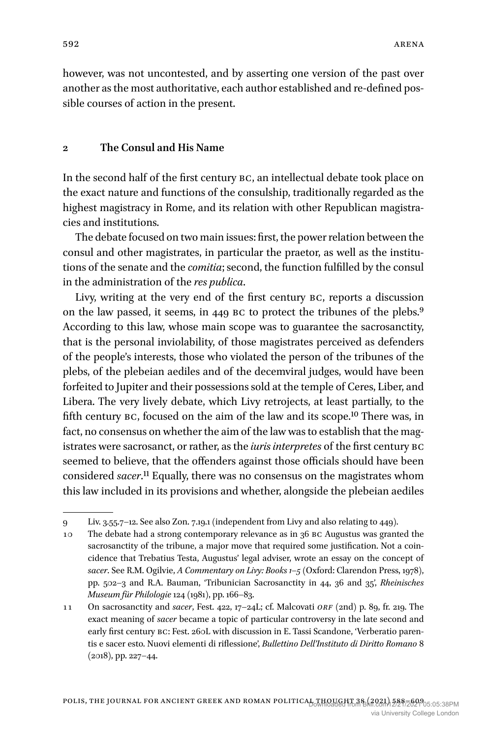however, was not uncontested, and by asserting one version of the past over another as the most authoritative, each author established and re-defined possible courses of action in the present.

#### **2 The Consul and His Name**

In the second half of the first century BC, an intellectual debate took place on the exact nature and functions of the consulship, traditionally regarded as the highest magistracy in Rome, and its relation with other Republican magistracies and institutions.

The debate focused on two main issues: first, the power relation between the consul and other magistrates, in particular the praetor, as well as the institutions of the senate and the *comitia*; second, the function fulfilled by the consul in the administration of the *res publica*.

Livy, writing at the very end of the first century BC, reports a discussion on the law passed, it seems, in 449 BC to protect the tribunes of the plebs.<sup>9</sup> According to this law, whose main scope was to guarantee the sacrosanctity, that is the personal inviolability, of those magistrates perceived as defenders of the people's interests, those who violated the person of the tribunes of the plebs, of the plebeian aediles and of the decemviral judges, would have been forfeited to Jupiter and their possessions sold at the temple of Ceres, Liber, and Libera. The very lively debate, which Livy retrojects, at least partially, to the fifth century BC, focused on the aim of the law and its scope.10 There was, in fact, no consensus on whether the aim of the law was to establish that the magistrates were sacrosanct, or rather, as the *iuris interpretes* of the first century BC seemed to believe, that the offenders against those officials should have been considered *sacer*.11 Equally, there was no consensus on the magistrates whom this law included in its provisions and whether, alongside the plebeian aediles

<sup>9</sup> Liv. 3.55.7–12. See also Zon. 7.19.1 (independent from Livy and also relating to 449).

<sup>10</sup> The debate had a strong contemporary relevance as in 36 BC Augustus was granted the sacrosanctity of the tribune, a major move that required some justification. Not a coincidence that Trebatius Testa, Augustus' legal adviser, wrote an essay on the concept of *sacer*. See R.M. Ogilvie, *A Commentary on Livy: Books 1–5* (Oxford: Clarendon Press, 1978), pp. 502–3 and R.A. Bauman, 'Tribunician Sacrosanctity in 44, 36 and 35', *Rheinisches Museum für Philologie* 124 (1981), pp. 166–83.

<sup>11</sup> On sacrosanctity and *sacer*, Fest. 422, 17–24L; cf. Malcovati *ORF* (2nd) p. 89, fr. 219. The exact meaning of *sacer* became a topic of particular controversy in the late second and early first century BC: Fest. 260L with discussion in E. Tassi Scandone, 'Verberatio parentis e sacer esto. Nuovi elementi di riflessione', *Bullettino Dell'Instituto di Diritto Romano* 8 (2018), pp. 227–44.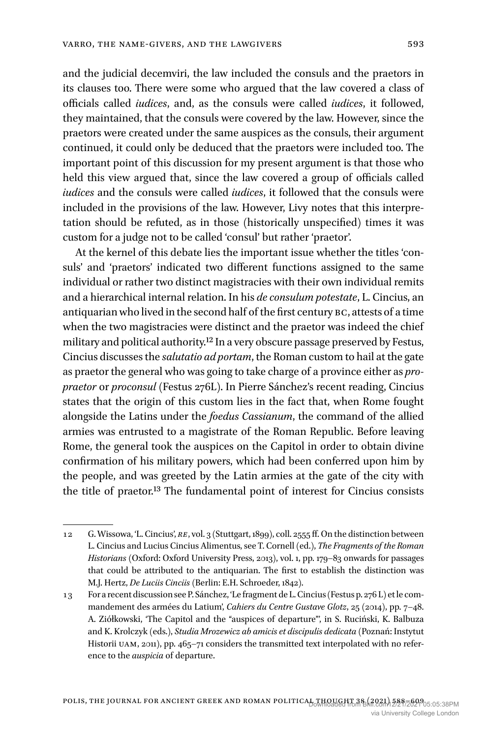and the judicial decemviri, the law included the consuls and the praetors in its clauses too. There were some who argued that the law covered a class of officials called *iudices*, and, as the consuls were called *iudices*, it followed, they maintained, that the consuls were covered by the law. However, since the praetors were created under the same auspices as the consuls, their argument continued, it could only be deduced that the praetors were included too. The important point of this discussion for my present argument is that those who held this view argued that, since the law covered a group of officials called *iudices* and the consuls were called *iudices*, it followed that the consuls were included in the provisions of the law. However, Livy notes that this interpretation should be refuted, as in those (historically unspecified) times it was custom for a judge not to be called 'consul' but rather 'praetor'.

At the kernel of this debate lies the important issue whether the titles 'consuls' and 'praetors' indicated two different functions assigned to the same individual or rather two distinct magistracies with their own individual remits and a hierarchical internal relation. In his *de consulum potestate*, L. Cincius, an antiquarian who lived in the second half of the first century BC, attests of a time when the two magistracies were distinct and the praetor was indeed the chief military and political authority.12 In a very obscure passage preserved by Festus, Cincius discusses the *salutatio ad portam*, the Roman custom to hail at the gate as praetor the general who was going to take charge of a province either as *propraetor* or *proconsul* (Festus 276L). In Pierre Sánchez's recent reading, Cincius states that the origin of this custom lies in the fact that, when Rome fought alongside the Latins under the *foedus Cassianum*, the command of the allied armies was entrusted to a magistrate of the Roman Republic. Before leaving Rome, the general took the auspices on the Capitol in order to obtain divine confirmation of his military powers, which had been conferred upon him by the people, and was greeted by the Latin armies at the gate of the city with the title of praetor.13 The fundamental point of interest for Cincius consists

<sup>12</sup> G. Wissowa, 'L. Cincius', *RE*, vol. 3 (Stuttgart, 1899), coll. 2555 ff. On the distinction between L. Cincius and Lucius Cincius Alimentus, see T. Cornell (ed.), *The Fragments of the Roman Historians* (Oxford: Oxford University Press, 2013), vol. 1, pp. 179–83 onwards for passages that could be attributed to the antiquarian. The first to establish the distinction was M.J. Hertz, *De Luciis Cinciis* (Berlin: E.H. Schroeder, 1842).

<sup>13</sup> For a recent discussion see P. Sánchez, 'Le fragment de L. Cincius (Festus p. 276 L) et le commandement des armées du Latium', *Cahiers du Centre Gustave Glotz*, 25 (2014), pp. 7–48. A. Ziółkowski, 'The Capitol and the "auspices of departure"', in S. Ruciński, K. Balbuza and K. Krolczyk (eds.), *Studia Mrozewicz ab amicis et discipulis dedicata* (Poznań: Instytut Historii UAM, 2011), pp. 465–71 considers the transmitted text interpolated with no reference to the *auspicia* of departure.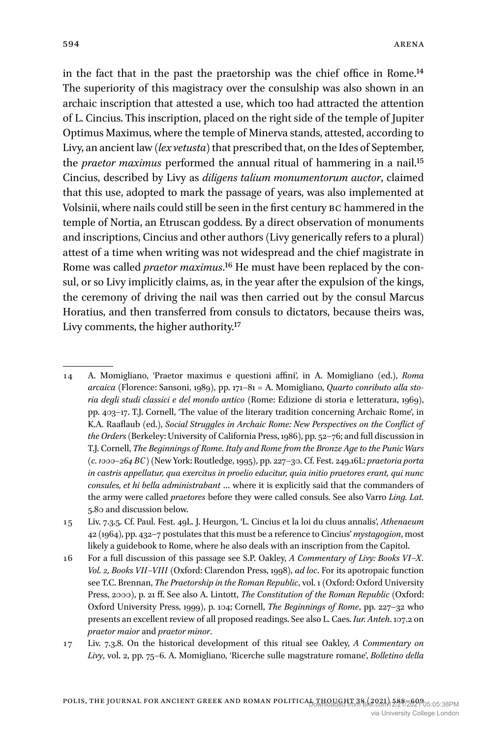in the fact that in the past the praetorship was the chief office in Rome.14 The superiority of this magistracy over the consulship was also shown in an archaic inscription that attested a use, which too had attracted the attention of L. Cincius. This inscription, placed on the right side of the temple of Jupiter Optimus Maximus, where the temple of Minerva stands, attested, according to Livy, an ancient law (*lex vetusta*) that prescribed that, on the Ides of September, the *praetor maximus* performed the annual ritual of hammering in a nail.15 Cincius, described by Livy as *diligens talium monumentorum auctor*, claimed that this use, adopted to mark the passage of years, was also implemented at Volsinii, where nails could still be seen in the first century BC hammered in the temple of Nortia, an Etruscan goddess. By a direct observation of monuments and inscriptions, Cincius and other authors (Livy generically refers to a plural) attest of a time when writing was not widespread and the chief magistrate in Rome was called *praetor maximus*.16 He must have been replaced by the consul, or so Livy implicitly claims, as, in the year after the expulsion of the kings, the ceremony of driving the nail was then carried out by the consul Marcus Horatius, and then transferred from consuls to dictators, because theirs was, Livy comments, the higher authority.<sup>17</sup>

<sup>14</sup> A. Momigliano, 'Praetor maximus e questioni affini', in A. Momigliano (ed.), *Roma arcaica* (Florence: Sansoni, 1989), pp. 171–81 = A. Momigliano, *Quarto conributo alla storia degli studi classici e del mondo antico* (Rome: Edizione di storia e letteratura, 1969), pp. 403–17. T.J. Cornell, 'The value of the literary tradition concerning Archaic Rome', in K.A. Raaflaub (ed.), *Social Struggles in Archaic Rome: New Perspectives on the Conflict of the Orders* (Berkeley: University of California Press, 1986), pp. 52–76; and full discussion in T.J. Cornell, *The Beginnings of Rome. Italy and Rome from the Bronze Age to the Punic Wars (c. 1000–264 BC)* (New York: Routledge, 1995), pp. 227–30. Cf. Fest. 249.16L: *praetoria porta in castris appellatur, qua exercitus in proelio educitur, quia initio praetores erant, qui nunc consules, et hi bella administrabant* … where it is explicitly said that the commanders of the army were called *praetores* before they were called consuls. See also Varro *Ling. Lat.* 5.80 and discussion below.

<sup>15</sup> Liv. 7.3.5. Cf. Paul. Fest. 49L. J. Heurgon, 'L. Cincius et la loi du cluus annalis', *Athenaeum* 42 (1964), pp. 432–7 postulates that this must be a reference to Cincius' *mystagogion*, most likely a guidebook to Rome, where he also deals with an inscription from the Capitol.

<sup>16</sup> For a full discussion of this passage see S.P. Oakley, *A Commentary of Livy: Books VI–X. Vol. 2, Books VII–VIII* (Oxford: Clarendon Press, 1998), *ad loc*. For its apotropaic function see T.C. Brennan, *The Praetorship in the Roman Republic*, vol. 1 (Oxford: Oxford University Press, 2000), p. 21 ff. See also A. Lintott, *The Constitution of the Roman Republic* (Oxford: Oxford University Press, 1999), p. 104; Cornell, *The Beginnings of Rome*, pp. 227–32 who presents an excellent review of all proposed readings. See also L. Caes. *Iur. Anteh*. 107.2 on *praetor maior* and *praetor minor*.

<sup>17</sup> Liv. 7.3.8. On the historical development of this ritual see Oakley, *A Commentary on Livy*, vol. 2, pp. 75–6. A. Momigliano, 'Ricerche sulle magstrature romane', *Bolletino della*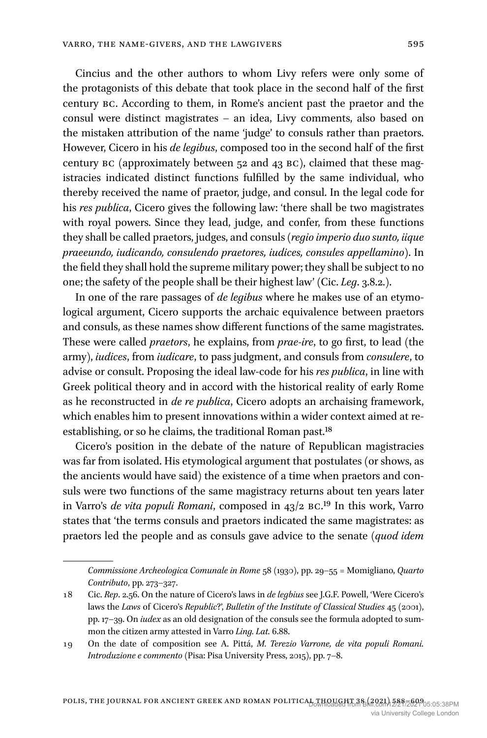Cincius and the other authors to whom Livy refers were only some of the protagonists of this debate that took place in the second half of the first century BC. According to them, in Rome's ancient past the praetor and the consul were distinct magistrates – an idea, Livy comments, also based on the mistaken attribution of the name 'judge' to consuls rather than praetors. However, Cicero in his *de legibus*, composed too in the second half of the first century BC (approximately between 52 and 43 BC), claimed that these magistracies indicated distinct functions fulfilled by the same individual, who thereby received the name of praetor, judge, and consul. In the legal code for his *res publica*, Cicero gives the following law: 'there shall be two magistrates with royal powers. Since they lead, judge, and confer, from these functions they shall be called praetors, judges, and consuls (*regio imperio duo sunto, iique praeeundo, iudicando, consulendo praetores, iudices, consules appellamino*). In the field they shall hold the supreme military power; they shall be subject to no one; the safety of the people shall be their highest law' (Cic. *Leg*. 3.8.2.).

In one of the rare passages of *de legibus* where he makes use of an etymological argument, Cicero supports the archaic equivalence between praetors and consuls, as these names show different functions of the same magistrates. These were called *praetors*, he explains, from *prae-ire*, to go first, to lead (the army), *iudices*, from *iudicare*, to pass judgment, and consuls from *consulere*, to advise or consult. Proposing the ideal law-code for his *res publica*, in line with Greek political theory and in accord with the historical reality of early Rome as he reconstructed in *de re publica*, Cicero adopts an archaising framework, which enables him to present innovations within a wider context aimed at reestablishing, or so he claims, the traditional Roman past.<sup>18</sup>

Cicero's position in the debate of the nature of Republican magistracies was far from isolated. His etymological argument that postulates (or shows, as the ancients would have said) the existence of a time when praetors and consuls were two functions of the same magistracy returns about ten years later in Varro's *de vita populi Romani*, composed in 43/2 BC.19 In this work, Varro states that 'the terms consuls and praetors indicated the same magistrates: as praetors led the people and as consuls gave advice to the senate (*quod idem* 

*Commissione Archeologica Comunale in Rome* 58 (1930), pp. 29–55 = Momigliano, *Quarto Contributo*, pp. 273–327.

<sup>18</sup> Cic. *Rep*. 2.56. On the nature of Cicero's laws in *de legbius* see J.G.F. Powell, 'Were Cicero's laws the *Laws* of Cicero's *Republic*?', *Bulletin of the Institute of Classical Studies* 45 (2001), pp. 17–39. On *iudex* as an old designation of the consuls see the formula adopted to summon the citizen army attested in Varro *Ling. Lat.* 6.88.

<sup>19</sup> On the date of composition see A. Pittá, *M. Terezio Varrone, de vita populi Romani. Introduzione e commento* (Pisa: Pisa University Press, 2015), pp. 7–8.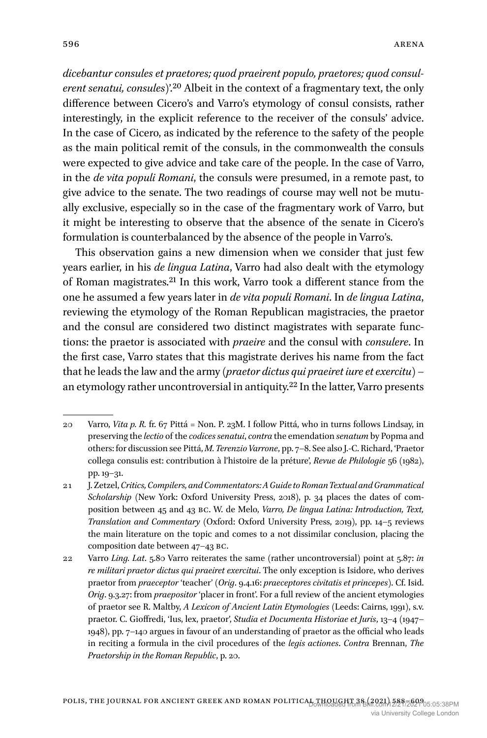*dicebantur consules et praetores; quod praeirent populo, praetores; quod consulerent senatui, consules*)'.20 Albeit in the context of a fragmentary text, the only difference between Cicero's and Varro's etymology of consul consists, rather interestingly, in the explicit reference to the receiver of the consuls' advice. In the case of Cicero, as indicated by the reference to the safety of the people as the main political remit of the consuls, in the commonwealth the consuls were expected to give advice and take care of the people. In the case of Varro, in the *de vita populi Romani*, the consuls were presumed, in a remote past, to give advice to the senate. The two readings of course may well not be mutually exclusive, especially so in the case of the fragmentary work of Varro, but it might be interesting to observe that the absence of the senate in Cicero's formulation is counterbalanced by the absence of the people in Varro's.

This observation gains a new dimension when we consider that just few years earlier, in his *de lingua Latina*, Varro had also dealt with the etymology of Roman magistrates.21 In this work, Varro took a different stance from the one he assumed a few years later in *de vita populi Romani*. In *de lingua Latina*, reviewing the etymology of the Roman Republican magistracies, the praetor and the consul are considered two distinct magistrates with separate functions: the praetor is associated with *praeire* and the consul with *consulere*. In the first case, Varro states that this magistrate derives his name from the fact that he leads the law and the army (*praetor dictus qui praeiret iure et exercitu*) – an etymology rather uncontroversial in antiquity.22 In the latter, Varro presents

<sup>20</sup> Varro, *Vita p. R.* fr. 67 Pittá = Non. P. 23M. I follow Pittá, who in turns follows Lindsay, in preserving the *lectio* of the *codices senatui*, *contra* the emendation *senatum* by Popma and others: for discussion see Pittá, *M. Terenzio Varrone*, pp. 7–8. See also J.-C. Richard, 'Praetor collega consulis est: contribution à l'histoire de la préture', *Revue de Philologie* 56 (1982), pp. 19–31.

<sup>21</sup> J. Zetzel, *Critics, Compilers, and Commentators: A Guide to Roman Textual and Grammatical Scholarship* (New York: Oxford University Press, 2018), p. 34 places the dates of composition between 45 and 43 BC. W. de Melo, *Varro, De lingua Latina: Introduction, Text, Translation and Commentary* (Oxford: Oxford University Press, 2019), pp. 14–5 reviews the main literature on the topic and comes to a not dissimilar conclusion, placing the composition date between 47–43 BC.

<sup>22</sup> Varro *Ling. Lat*. 5.80 Varro reiterates the same (rather uncontroversial) point at 5.87: *in re militari praetor dictus qui praeiret exercitui*. The only exception is Isidore, who derives praetor from *praeceptor* 'teacher' (*Orig*. 9.4.16: *praeceptores civitatis et princepes*). Cf. Isid. *Orig*. 9.3.27: from *praepositor* 'placer in front'. For a full review of the ancient etymologies of praetor see R. Maltby, *A Lexicon of Ancient Latin Etymologies* (Leeds: Cairns, 1991), s.v. praetor. C. Gioffredi, 'Ius, lex, praetor', *Studia et Documenta Historiae et Juris*, 13–4 (1947– 1948), pp. 7–140 argues in favour of an understanding of praetor as the official who leads in reciting a formula in the civil procedures of the *legis actiones*. *Contra* Brennan, *The Praetorship in the Roman Republic*, p. 20.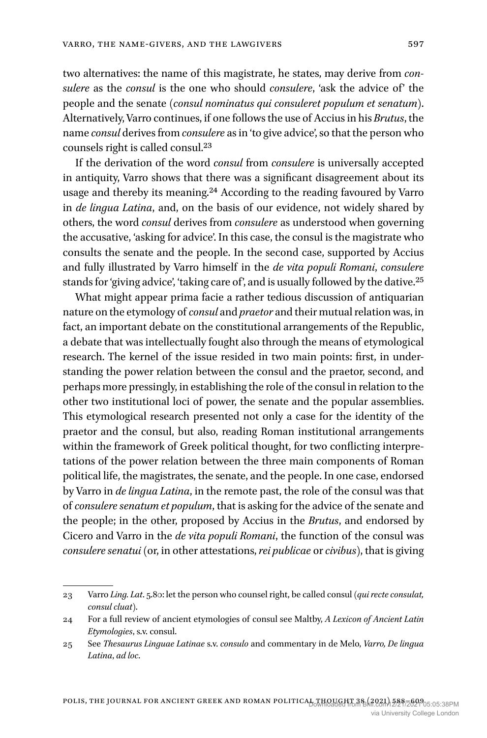two alternatives: the name of this magistrate, he states, may derive from *consulere* as the *consul* is the one who should *consulere*, 'ask the advice of' the people and the senate (*consul nominatus qui consuleret populum et senatum*). Alternatively, Varro continues, if one follows the use of Accius in his *Brutus*, the name *consul* derives from *consulere* as in 'to give advice', so that the person who counsels right is called consul.23

If the derivation of the word *consul* from *consulere* is universally accepted in antiquity, Varro shows that there was a significant disagreement about its usage and thereby its meaning.24 According to the reading favoured by Varro in *de lingua Latina*, and, on the basis of our evidence, not widely shared by others, the word *consul* derives from *consulere* as understood when governing the accusative, 'asking for advice'. In this case, the consul is the magistrate who consults the senate and the people. In the second case, supported by Accius and fully illustrated by Varro himself in the *de vita populi Romani*, *consulere* stands for 'giving advice', 'taking care of', and is usually followed by the dative.25

What might appear prima facie a rather tedious discussion of antiquarian nature on the etymology of *consul* and *praetor* and their mutual relation was, in fact, an important debate on the constitutional arrangements of the Republic, a debate that was intellectually fought also through the means of etymological research. The kernel of the issue resided in two main points: first, in understanding the power relation between the consul and the praetor, second, and perhaps more pressingly, in establishing the role of the consul in relation to the other two institutional loci of power, the senate and the popular assemblies. This etymological research presented not only a case for the identity of the praetor and the consul, but also, reading Roman institutional arrangements within the framework of Greek political thought, for two conflicting interpretations of the power relation between the three main components of Roman political life, the magistrates, the senate, and the people. In one case, endorsed by Varro in *de lingua Latina*, in the remote past, the role of the consul was that of *consulere senatum et populum*, that is asking for the advice of the senate and the people; in the other, proposed by Accius in the *Brutus*, and endorsed by Cicero and Varro in the *de vita populi Romani*, the function of the consul was *consulere senatui* (or, in other attestations, *rei publicae* or *civibus*), that is giving

<sup>23</sup> Varro *Ling. Lat*. 5.80: let the person who counsel right, be called consul (*qui recte consulat, consul cluat*).

<sup>24</sup> For a full review of ancient etymologies of consul see Maltby, *A Lexicon of Ancient Latin Etymologies*, s.v. consul.

<sup>25</sup> See *Thesaurus Linguae Latinae* s.v. *consulo* and commentary in de Melo, *Varro, De lingua Latina*, *ad loc*.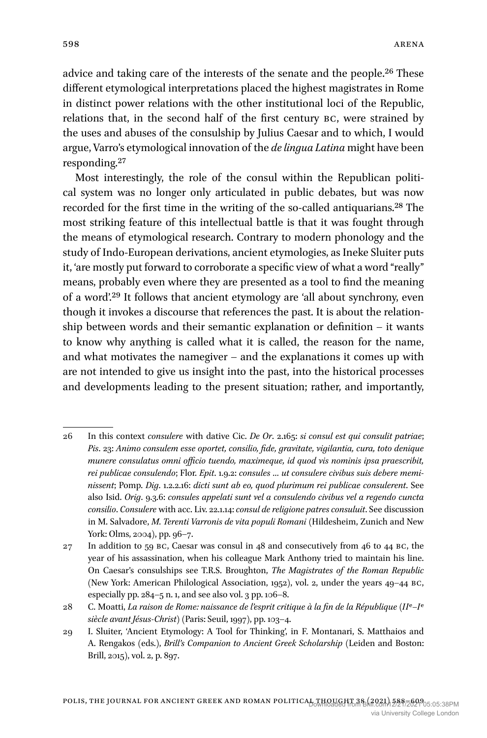advice and taking care of the interests of the senate and the people.26 These different etymological interpretations placed the highest magistrates in Rome in distinct power relations with the other institutional loci of the Republic, relations that, in the second half of the first century BC, were strained by the uses and abuses of the consulship by Julius Caesar and to which, I would argue, Varro's etymological innovation of the *de lingua Latina* might have been responding.27

Most interestingly, the role of the consul within the Republican political system was no longer only articulated in public debates, but was now recorded for the first time in the writing of the so-called antiquarians.28 The most striking feature of this intellectual battle is that it was fought through the means of etymological research. Contrary to modern phonology and the study of Indo-European derivations, ancient etymologies, as Ineke Sluiter puts it, 'are mostly put forward to corroborate a specific view of what a word "really" means, probably even where they are presented as a tool to find the meaning of a word'.29 It follows that ancient etymology are 'all about synchrony, even though it invokes a discourse that references the past. It is about the relationship between words and their semantic explanation or definition – it wants to know why anything is called what it is called, the reason for the name, and what motivates the namegiver – and the explanations it comes up with are not intended to give us insight into the past, into the historical processes and developments leading to the present situation; rather, and importantly,

<sup>26</sup> In this context *consulere* with dative Cic. *De Or*. 2.165: *si consul est qui consulit patriae*; *Pis*. 23: *Animo consulem esse oportet, consilio, fide, gravitate, vigilantia, cura, toto denique munere consulatus omni officio tuendo, maximeque, id quod vis nominis ipsa praescribit, rei publicae consulendo*; Flor. *Epit*. 1.9.2: *consules … ut consulere civibus suis debere meminissent*; Pomp. *Dig*. 1.2.2.16: *dicti sunt ab eo, quod plurimum rei publicae consulerent*. See also Isid. *Orig*. 9.3.6: *consules appelati sunt vel a consulendo civibus vel a regendo cuncta consilio*. *Consulere* with acc. Liv. 22.1.14: *consul de religione patres consuluit*. See discussion in M. Salvadore, *M. Terenti Varronis de vita populi Romani* (Hildesheim, Zunich and New York: Olms, 2004), pp. 96–7.

<sup>27</sup> In addition to 59 BC, Caesar was consul in 48 and consecutively from 46 to 44 BC, the year of his assassination, when his colleague Mark Anthony tried to maintain his line. On Caesar's consulships see T.R.S. Broughton, *The Magistrates of the Roman Republic* (New York: American Philological Association, 1952), vol. 2, under the years 49–44 BC, especially pp. 284–5 n. 1, and see also vol. 3 pp. 106–8.

<sup>28</sup> C. Moatti, *La raison de Rome: naissance de l'esprit critique à la fin de la République (II*e*–I*e *siècle avant Jésus-Christ)* (Paris: Seuil, 1997), pp. 103–4.

<sup>29</sup> I. Sluiter, 'Ancient Etymology: A Tool for Thinking', in F. Montanari, S. Matthaios and A. Rengakos (eds.), *Brill's Companion to Ancient Greek Scholarship* (Leiden and Boston: Brill, 2015), vol. 2, p. 897.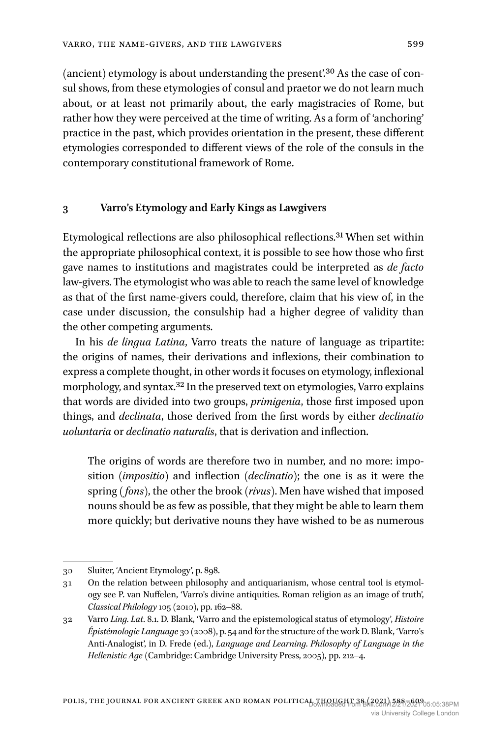(ancient) etymology is about understanding the present'.30 As the case of consul shows, from these etymologies of consul and praetor we do not learn much about, or at least not primarily about, the early magistracies of Rome, but rather how they were perceived at the time of writing. As a form of 'anchoring' practice in the past, which provides orientation in the present, these different etymologies corresponded to different views of the role of the consuls in the contemporary constitutional framework of Rome.

#### **3 Varro's Etymology and Early Kings as Lawgivers**

Etymological reflections are also philosophical reflections.31 When set within the appropriate philosophical context, it is possible to see how those who first gave names to institutions and magistrates could be interpreted as *de facto* law-givers. The etymologist who was able to reach the same level of knowledge as that of the first name-givers could, therefore, claim that his view of, in the case under discussion, the consulship had a higher degree of validity than the other competing arguments.

In his *de lingua Latina*, Varro treats the nature of language as tripartite: the origins of names, their derivations and inflexions, their combination to express a complete thought, in other words it focuses on etymology, inflexional morphology, and syntax.<sup>32</sup> In the preserved text on etymologies, Varro explains that words are divided into two groups, *primigenia*, those first imposed upon things, and *declinata*, those derived from the first words by either *declinatio uoluntaria* or *declinatio naturalis*, that is derivation and inflection.

The origins of words are therefore two in number, and no more: imposition (*impositio*) and inflection (*declinatio*); the one is as it were the spring *( fons)*, the other the brook (*rivus*). Men have wished that imposed nouns should be as few as possible, that they might be able to learn them more quickly; but derivative nouns they have wished to be as numerous

<sup>30</sup> Sluiter, 'Ancient Etymology', p. 898.

<sup>31</sup> On the relation between philosophy and antiquarianism, whose central tool is etymology see P. van Nuffelen, 'Varro's divine antiquities. Roman religion as an image of truth', *Classical Philology* 105 (2010), pp. 162–88.

<sup>32</sup> Varro *Ling. Lat*. 8.1. D. Blank, 'Varro and the epistemological status of etymology', *Histoire Épistémologie Language* 30 (2008), p. 54 and for the structure of the work D. Blank, 'Varro's Anti-Analogist', in D. Frede (ed.), *Language and Learning. Philosophy of Language in the Hellenistic Age* (Cambridge: Cambridge University Press, 2005), pp. 212–4.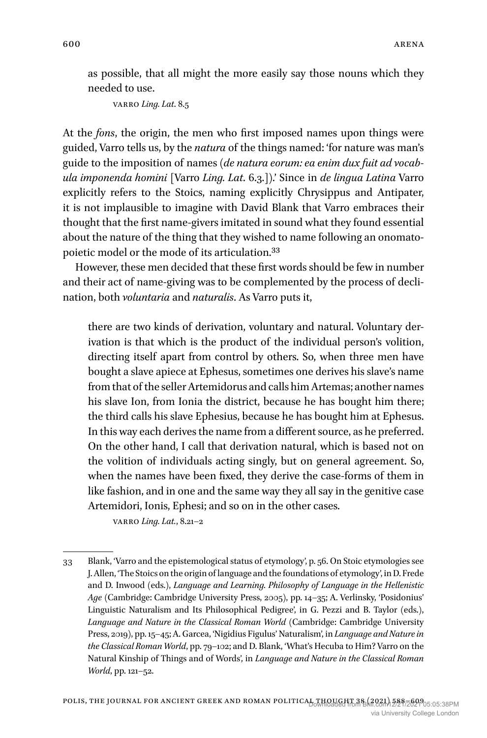as possible, that all might the more easily say those nouns which they needed to use.

```
Varro Ling. Lat. 8.5
```
At the *fons*, the origin, the men who first imposed names upon things were guided, Varro tells us, by the *natura* of the things named: 'for nature was man's guide to the imposition of names (*de natura eorum: ea enim dux fuit ad vocabula imponenda homini* [Varro *Ling. Lat*. 6.3.]).' Since in *de lingua Latina* Varro explicitly refers to the Stoics, naming explicitly Chrysippus and Antipater, it is not implausible to imagine with David Blank that Varro embraces their thought that the first name-givers imitated in sound what they found essential about the nature of the thing that they wished to name following an onomatopoietic model or the mode of its articulation.33

However, these men decided that these first words should be few in number and their act of name-giving was to be complemented by the process of declination, both *voluntaria* and *naturalis*. As Varro puts it,

there are two kinds of derivation, voluntary and natural. Voluntary derivation is that which is the product of the individual person's volition, directing itself apart from control by others. So, when three men have bought a slave apiece at Ephesus, sometimes one derives his slave's name from that of the seller Artemidorus and calls him Artemas; another names his slave Ion, from Ionia the district, because he has bought him there; the third calls his slave Ephesius, because he has bought him at Ephesus. In this way each derives the name from a different source, as he preferred. On the other hand, I call that derivation natural, which is based not on the volition of individuals acting singly, but on general agreement. So, when the names have been fixed, they derive the case-forms of them in like fashion, and in one and the same way they all say in the genitive case Artemidori, Ionis, Ephesi; and so on in the other cases.

Varro *Ling. Lat.*, 8.21–2

<sup>33</sup> Blank, 'Varro and the epistemological status of etymology', p. 56. On Stoic etymologies see J. Allen, 'The Stoics on the origin of language and the foundations of etymology', in D. Frede and D. Inwood (eds.), *Language and Learning. Philosophy of Language in the Hellenistic Age* (Cambridge: Cambridge University Press, 2005), pp. 14–35; A. Verlinsky, 'Posidonius' Linguistic Naturalism and Its Philosophical Pedigree', in G. Pezzi and B. Taylor (eds.), *Language and Nature in the Classical Roman World* (Cambridge: Cambridge University Press, 2019), pp. 15–45; A. Garcea, 'Nigidius Figulus' Naturalism', in *Language and Nature in the Classical Roman World*, pp. 79–102; and D. Blank, 'What's Hecuba to Him? Varro on the Natural Kinship of Things and of Words', in *Language and Nature in the Classical Roman World*, pp. 121–52.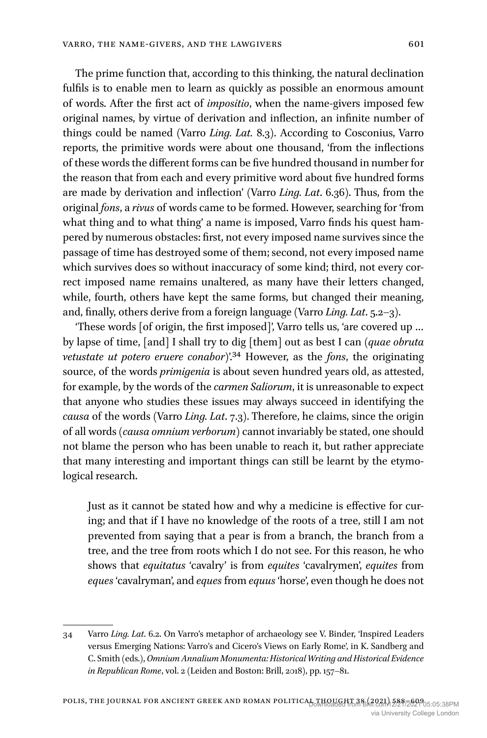The prime function that, according to this thinking, the natural declination fulfils is to enable men to learn as quickly as possible an enormous amount of words. After the first act of *impositio*, when the name-givers imposed few original names, by virtue of derivation and inflection, an infinite number of things could be named (Varro *Ling. Lat.* 8.3). According to Cosconius, Varro reports, the primitive words were about one thousand, 'from the inflections of these words the different forms can be five hundred thousand in number for the reason that from each and every primitive word about five hundred forms are made by derivation and inflection' (Varro *Ling. Lat*. 6.36). Thus, from the original *fons*, a *rivus* of words came to be formed. However, searching for 'from what thing and to what thing' a name is imposed, Varro finds his quest hampered by numerous obstacles: first, not every imposed name survives since the passage of time has destroyed some of them; second, not every imposed name which survives does so without inaccuracy of some kind; third, not every correct imposed name remains unaltered, as many have their letters changed, while, fourth, others have kept the same forms, but changed their meaning, and, finally, others derive from a foreign language (Varro *Ling. Lat*. 5.2–3).

'These words [of origin, the first imposed]', Varro tells us, 'are covered up … by lapse of time, [and] I shall try to dig [them] out as best I can (*quae obruta vetustate ut potero eruere conabor*)'.34 However, as the *fons*, the originating source, of the words *primigenia* is about seven hundred years old, as attested, for example, by the words of the *carmen Saliorum*, it is unreasonable to expect that anyone who studies these issues may always succeed in identifying the *causa* of the words (Varro *Ling. Lat*. 7.3). Therefore, he claims, since the origin of all words (*causa omnium verborum*) cannot invariably be stated, one should not blame the person who has been unable to reach it, but rather appreciate that many interesting and important things can still be learnt by the etymological research.

Just as it cannot be stated how and why a medicine is effective for curing; and that if I have no knowledge of the roots of a tree, still I am not prevented from saying that a pear is from a branch, the branch from a tree, and the tree from roots which I do not see. For this reason, he who shows that *equitatus* 'cavalry' is from *equites* 'cavalrymen', *equites* from *eques* 'cavalryman', and *eques* from *equus* 'horse', even though he does not

<sup>34</sup> Varro *Ling. Lat*. 6.2. On Varro's metaphor of archaeology see V. Binder, 'Inspired Leaders versus Emerging Nations: Varro's and Cicero's Views on Early Rome', in K. Sandberg and C. Smith (eds.), *Omnium Annalium Monumenta: Historical Writing and Historical Evidence in Republican Rome*, vol. 2 (Leiden and Boston: Brill, 2018), pp. 157–81.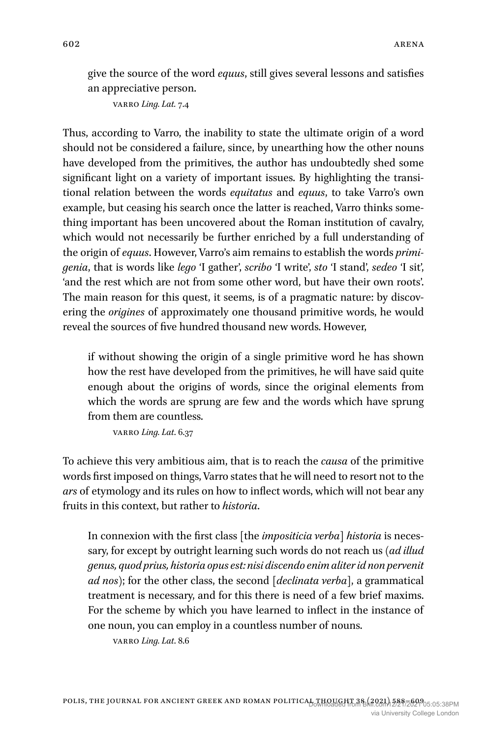give the source of the word *equus*, still gives several lessons and satisfies an appreciative person.

Varro *Ling. Lat.* 7.4

Thus, according to Varro, the inability to state the ultimate origin of a word should not be considered a failure, since, by unearthing how the other nouns have developed from the primitives, the author has undoubtedly shed some significant light on a variety of important issues. By highlighting the transitional relation between the words *equitatus* and *equus*, to take Varro's own example, but ceasing his search once the latter is reached, Varro thinks something important has been uncovered about the Roman institution of cavalry, which would not necessarily be further enriched by a full understanding of the origin of *equus*. However, Varro's aim remains to establish the words *primigenia*, that is words like *lego* 'I gather', *scribo* 'I write', *sto* 'I stand', *sedeo* 'I sit', 'and the rest which are not from some other word, but have their own roots'. The main reason for this quest, it seems, is of a pragmatic nature: by discovering the *origines* of approximately one thousand primitive words, he would reveal the sources of five hundred thousand new words. However,

if without showing the origin of a single primitive word he has shown how the rest have developed from the primitives, he will have said quite enough about the origins of words, since the original elements from which the words are sprung are few and the words which have sprung from them are countless.

Varro *Ling. Lat*. 6.37

To achieve this very ambitious aim, that is to reach the *causa* of the primitive words first imposed on things, Varro states that he will need to resort not to the *ars* of etymology and its rules on how to inflect words, which will not bear any fruits in this context, but rather to *historia*.

In connexion with the first class [the *impositicia verba*] *historia* is necessary, for except by outright learning such words do not reach us (*ad illud genus, quod prius, historia opus est: nisi discendo enim aliter id non pervenit ad nos*); for the other class, the second [*declinata verba*], a grammatical treatment is necessary, and for this there is need of a few brief maxims. For the scheme by which you have learned to inflect in the instance of one noun, you can employ in a countless number of nouns.

Varro *Ling. Lat*. 8.6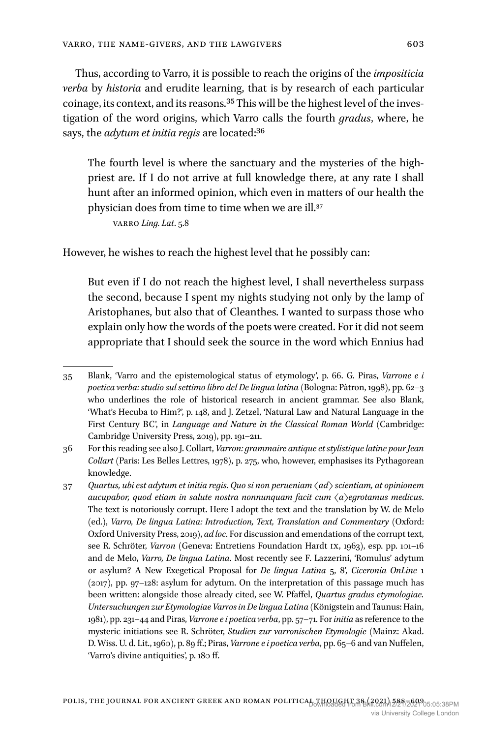Thus, according to Varro, it is possible to reach the origins of the *impositicia verba* by *historia* and erudite learning, that is by research of each particular coinage, its context, and its reasons.35 This will be the highest level of the investigation of the word origins, which Varro calls the fourth *gradus*, where, he says, the *adytum et initia regis* are located:36

The fourth level is where the sanctuary and the mysteries of the highpriest are. If I do not arrive at full knowledge there, at any rate I shall hunt after an informed opinion, which even in matters of our health the physician does from time to time when we are ill.37

Varro *Ling. Lat*. 5.8

However, he wishes to reach the highest level that he possibly can:

But even if I do not reach the highest level, I shall nevertheless surpass the second, because I spent my nights studying not only by the lamp of Aristophanes, but also that of Cleanthes. I wanted to surpass those who explain only how the words of the poets were created. For it did not seem appropriate that I should seek the source in the word which Ennius had

<sup>35</sup> Blank, 'Varro and the epistemological status of etymology', p. 66. G. Piras, *Varrone e i poetica verba: studio sul settimo libro del De lingua latina* (Bologna: Pàtron, 1998), pp. 62–3 who underlines the role of historical research in ancient grammar. See also Blank, 'What's Hecuba to Him?', p. 148, and J. Zetzel, 'Natural Law and Natural Language in the First Century BC', in *Language and Nature in the Classical Roman World* (Cambridge: Cambridge University Press, 2019), pp. 191–211.

<sup>36</sup> For this reading see also J. Collart, *Varron: grammaire antique et stylistique latine pour Jean Collart* (Paris: Les Belles Lettres, 1978), p. 275, who, however, emphasises its Pythagorean knowledge.

<sup>37</sup> *Quartus, ubi est adytum et initia regis. Quo si non perueniam ⟨ad⟩ scientiam, at opinionem aucupabor, quod etiam in salute nostra nonnunquam facit cum ⟨a⟩egrotamus medicus*. The text is notoriously corrupt. Here I adopt the text and the translation by W. de Melo (ed.), *Varro, De lingua Latina: Introduction, Text, Translation and Commentary* (Oxford: Oxford University Press, 2019), *ad loc*. For discussion and emendations of the corrupt text, see R. Schröter, *Varron* (Geneva: Entretiens Foundation Hardt IX, 1963), esp. pp. 101–16 and de Melo, *Varro, De lingua Latina*. Most recently see F. Lazzerini, 'Romulus' adytum or asylum? A New Exegetical Proposal for *De lingua Latina* 5, 8', *Ciceronia OnLine* 1 (2017), pp. 97–128: asylum for adytum. On the interpretation of this passage much has been written: alongside those already cited, see W. Pfaffel, *Quartus gradus etymologiae. Untersuchungen zur Etymologiae Varros in De lingua Latina* (Königstein and Taunus: Hain, 1981), pp. 231–44 and Piras, *Varrone e i poetica verba*, pp. 57–71. For *initia* as reference to the mysteric initiations see R. Schröter, *Studien zur varronischen Etymologie* (Mainz: Akad. D. Wiss. U. d. Lit., 1960), p. 89 ff.; Piras, *Varrone e i poetica verba*, pp. 65–6 and van Nuffelen, 'Varro's divine antiquities', p. 180 ff.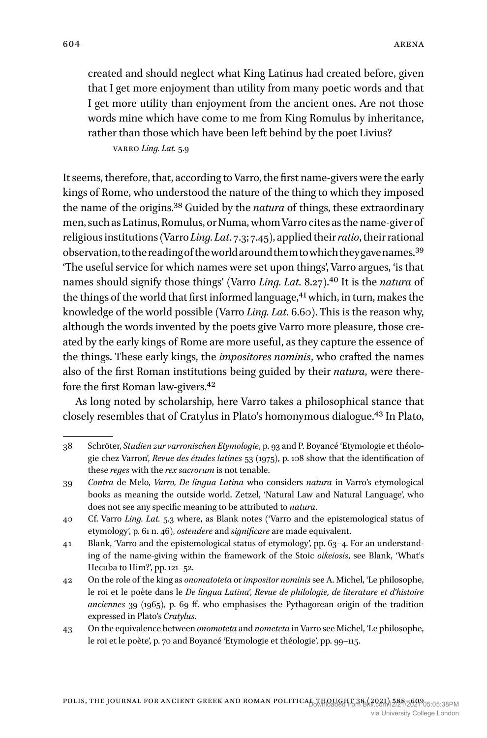created and should neglect what King Latinus had created before, given that I get more enjoyment than utility from many poetic words and that I get more utility than enjoyment from the ancient ones. Are not those words mine which have come to me from King Romulus by inheritance, rather than those which have been left behind by the poet Livius?

Varro *Ling. Lat.* 5.9

It seems, therefore, that, according to Varro, the first name-givers were the early kings of Rome, who understood the nature of the thing to which they imposed the name of the origins.38 Guided by the *natura* of things, these extraordinary men, such as Latinus, Romulus, or Numa, whom Varro cites as the name-giver of religious institutions (Varro *Ling. Lat*. 7.3; 7.45), applied their *ratio*, their rational observation, to the reading of the world around them to which they gave names.39 'The useful service for which names were set upon things', Varro argues, 'is that names should signify those things' (Varro *Ling. Lat.* 8.27).40 It is the *natura* of the things of the world that first informed language,<sup>41</sup> which, in turn, makes the knowledge of the world possible (Varro *Ling. Lat*. 6.60). This is the reason why, although the words invented by the poets give Varro more pleasure, those created by the early kings of Rome are more useful, as they capture the essence of the things. These early kings, the *impositores nominis*, who crafted the names also of the first Roman institutions being guided by their *natura*, were therefore the first Roman law-givers.42

As long noted by scholarship, here Varro takes a philosophical stance that closely resembles that of Cratylus in Plato's homonymous dialogue.43 In Plato,

<sup>38</sup> Schröter, *Studien zur varronischen Etymologie*, p. 93 and P. Boyancé 'Etymologie et théologie chez Varron', *Revue des études latines* 53 (1975), p. 108 show that the identification of these *reges* with the *rex sacrorum* is not tenable.

<sup>39</sup> *Contra* de Melo, *Varro, De lingua Latina* who considers *natura* in Varro's etymological books as meaning the outside world. Zetzel, 'Natural Law and Natural Language', who does not see any specific meaning to be attributed to *natura*.

<sup>40</sup> Cf. Varro *Ling. Lat.* 5.3 where, as Blank notes ('Varro and the epistemological status of etymology', p. 61 n. 46), *ostendere* and *significare* are made equivalent.

<sup>41</sup> Blank, 'Varro and the epistemological status of etymology', pp. 63–4. For an understanding of the name-giving within the framework of the Stoic *oikeiosis*, see Blank, 'What's Hecuba to Him?', pp. 121–52.

<sup>42</sup> On the role of the king as *onomatoteta* or *impositor nominis* see A. Michel, 'Le philosophe, le roi et le poète dans le *De lingua Latina*', *Revue de philologie, de literature et d'histoire anciennes* 39 (1965), p. 69 ff. who emphasises the Pythagorean origin of the tradition expressed in Plato's *Cratylus*.

<sup>43</sup> On the equivalence between *onomoteta* and *nometeta* in Varro see Michel, 'Le philosophe, le roi et le poète', p. 70 and Boyancé 'Etymologie et théologie', pp. 99–115.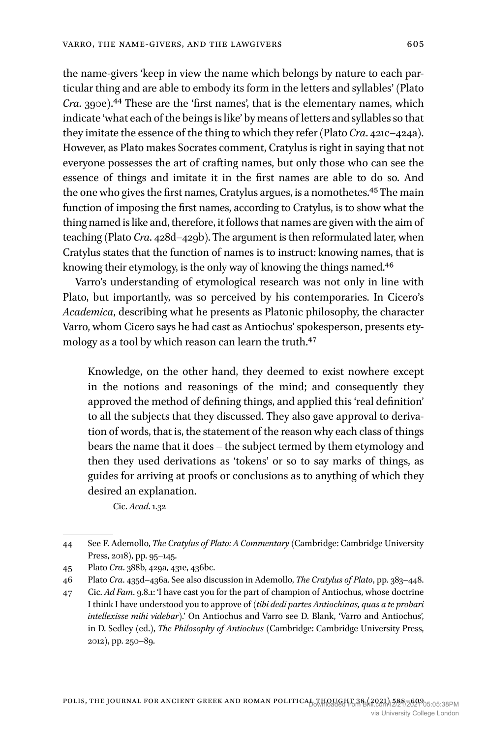the name-givers 'keep in view the name which belongs by nature to each particular thing and are able to embody its form in the letters and syllables' (Plato *Cra*. 390e).44 These are the 'first names', that is the elementary names, which indicate 'what each of the beings is like' by means of letters and syllables so that they imitate the essence of the thing to which they refer (Plato *Cra*. 421c–424a). However, as Plato makes Socrates comment, Cratylus is right in saying that not everyone possesses the art of crafting names, but only those who can see the essence of things and imitate it in the first names are able to do so. And the one who gives the first names, Cratylus argues, is a nomothetes.<sup>45</sup> The main function of imposing the first names, according to Cratylus, is to show what the thing named is like and, therefore, it follows that names are given with the aim of teaching (Plato *Cra*. 428d–429b). The argument is then reformulated later, when Cratylus states that the function of names is to instruct: knowing names, that is knowing their etymology, is the only way of knowing the things named.46

Varro's understanding of etymological research was not only in line with Plato, but importantly, was so perceived by his contemporaries. In Cicero's *Academica*, describing what he presents as Platonic philosophy, the character Varro, whom Cicero says he had cast as Antiochus' spokesperson, presents etymology as a tool by which reason can learn the truth.<sup>47</sup>

Knowledge, on the other hand, they deemed to exist nowhere except in the notions and reasonings of the mind; and consequently they approved the method of defining things, and applied this 'real definition' to all the subjects that they discussed. They also gave approval to derivation of words, that is, the statement of the reason why each class of things bears the name that it does – the subject termed by them etymology and then they used derivations as 'tokens' or so to say marks of things, as guides for arriving at proofs or conclusions as to anything of which they desired an explanation.

Cic. *Acad*. 1.32

<sup>44</sup> See F. Ademollo, *The Cratylus of Plato: A Commentary* (Cambridge: Cambridge University Press, 2018), pp. 95–145.

<sup>45</sup> Plato *Cra*. 388b, 429a, 431e, 436bc.

<sup>46</sup> Plato *Cra*. 435d–436a. See also discussion in Ademollo, *The Cratylus of Plato*, pp. 383–448.

<sup>47</sup> Cic. *Ad Fam*. 9.8.1: 'I have cast you for the part of champion of Antiochus, whose doctrine I think I have understood you to approve of (*tibi dedi partes Antiochinas, quas a te probari intellexisse mihi videbar*).' On Antiochus and Varro see D. Blank, 'Varro and Antiochus', in D. Sedley (ed.), *The Philosophy of Antiochus* (Cambridge: Cambridge University Press, 2012), pp. 250–89.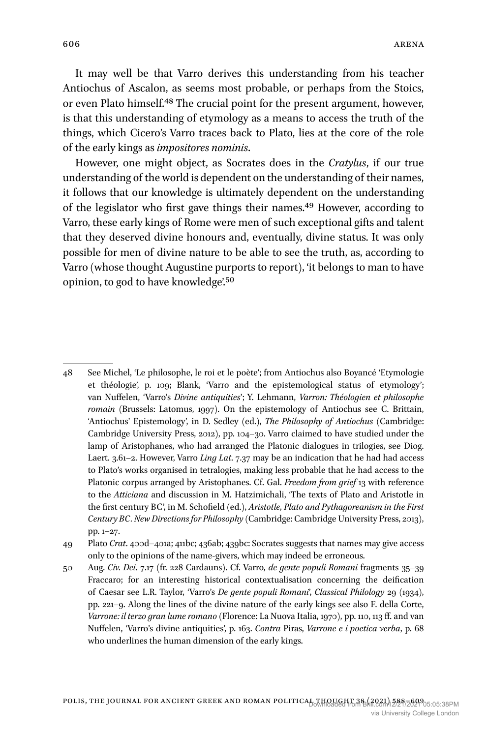It may well be that Varro derives this understanding from his teacher Antiochus of Ascalon, as seems most probable, or perhaps from the Stoics, or even Plato himself.48 The crucial point for the present argument, however, is that this understanding of etymology as a means to access the truth of the things, which Cicero's Varro traces back to Plato, lies at the core of the role of the early kings as *impositores nominis*.

However, one might object, as Socrates does in the *Cratylus*, if our true understanding of the world is dependent on the understanding of their names, it follows that our knowledge is ultimately dependent on the understanding of the legislator who first gave things their names.49 However, according to Varro, these early kings of Rome were men of such exceptional gifts and talent that they deserved divine honours and, eventually, divine status. It was only possible for men of divine nature to be able to see the truth, as, according to Varro (whose thought Augustine purports to report), 'it belongs to man to have opinion, to god to have knowledge'.50

49 Plato *Crat*. 400d–401a; 411bc; 436ab; 439bc: Socrates suggests that names may give access only to the opinions of the name-givers, which may indeed be erroneous.

50 Aug. *Civ. Dei*. 7.17 (fr. 228 Cardauns). Cf. Varro, *de gente populi Romani* fragments 35–39 Fraccaro; for an interesting historical contextualisation concerning the deification of Caesar see L.R. Taylor, 'Varro's *De gente populi Romani*', *Classical Philology* 29 (1934), pp. 221–9. Along the lines of the divine nature of the early kings see also F. della Corte, *Varrone: il terzo gran lume romano* (Florence: La Nuova Italia, 1970), pp. 110, 113 ff. and van Nuffelen, 'Varro's divine antiquities', p. 163. *Contra* Piras, *Varrone e i poetica verba*, p. 68 who underlines the human dimension of the early kings.

<sup>48</sup> See Michel, 'Le philosophe, le roi et le poète'; from Antiochus also Boyancé 'Etymologie et théologie', p. 109; Blank, 'Varro and the epistemological status of etymology'; van Nuffelen, 'Varro's *Divine antiquities*'; Y. Lehmann, *Varron: Théologien et philosophe romain* (Brussels: Latomus, 1997). On the epistemology of Antiochus see C. Brittain, 'Antiochus' Epistemology', in D. Sedley (ed.), *The Philosophy of Antiochus* (Cambridge: Cambridge University Press, 2012), pp. 104–30. Varro claimed to have studied under the lamp of Aristophanes, who had arranged the Platonic dialogues in trilogies, see Diog. Laert. 3.61–2. However, Varro *Ling Lat*. 7.37 may be an indication that he had had access to Plato's works organised in tetralogies, making less probable that he had access to the Platonic corpus arranged by Aristophanes. Cf. Gal. *Freedom from grief* 13 with reference to the *Atticiana* and discussion in M. Hatzimichali, 'The texts of Plato and Aristotle in the first century BC', in M. Schofield (ed.), *Aristotle, Plato and Pythagoreanism in the First Century BC. New Directions for Philosophy* (Cambridge: Cambridge University Press, 2013), pp. 1–27.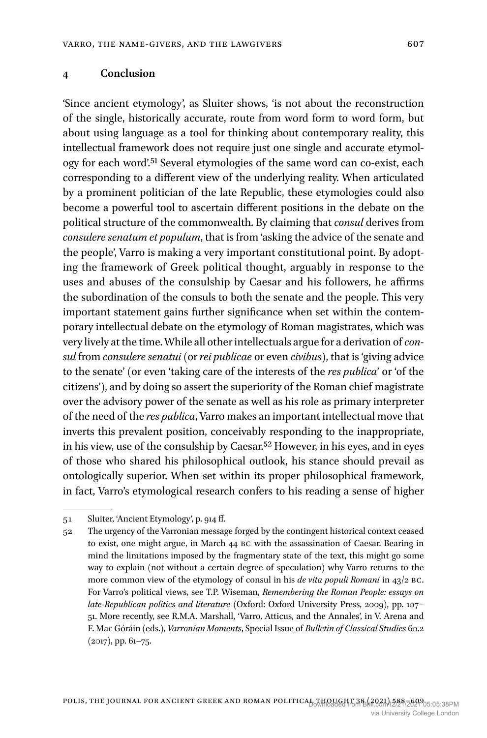#### **4 Conclusion**

'Since ancient etymology', as Sluiter shows, 'is not about the reconstruction of the single, historically accurate, route from word form to word form, but about using language as a tool for thinking about contemporary reality, this intellectual framework does not require just one single and accurate etymology for each word'.51 Several etymologies of the same word can co-exist, each corresponding to a different view of the underlying reality. When articulated by a prominent politician of the late Republic, these etymologies could also become a powerful tool to ascertain different positions in the debate on the political structure of the commonwealth. By claiming that *consul* derives from *consulere senatum et populum*, that is from 'asking the advice of the senate and the people', Varro is making a very important constitutional point. By adopting the framework of Greek political thought, arguably in response to the uses and abuses of the consulship by Caesar and his followers, he affirms the subordination of the consuls to both the senate and the people. This very important statement gains further significance when set within the contemporary intellectual debate on the etymology of Roman magistrates, which was very lively at the time. While all other intellectuals argue for a derivation of *consul* from *consulere senatui* (or *rei publicae* or even *civibus*), that is 'giving advice to the senate' (or even 'taking care of the interests of the *res publica*' or 'of the citizens'), and by doing so assert the superiority of the Roman chief magistrate over the advisory power of the senate as well as his role as primary interpreter of the need of the *res publica*, Varro makes an important intellectual move that inverts this prevalent position, conceivably responding to the inappropriate, in his view, use of the consulship by Caesar.52 However, in his eyes, and in eyes of those who shared his philosophical outlook, his stance should prevail as ontologically superior. When set within its proper philosophical framework, in fact, Varro's etymological research confers to his reading a sense of higher

<sup>51</sup> Sluiter, 'Ancient Etymology', p. 914 ff.

<sup>52</sup> The urgency of the Varronian message forged by the contingent historical context ceased to exist, one might argue, in March 44 BC with the assassination of Caesar. Bearing in mind the limitations imposed by the fragmentary state of the text, this might go some way to explain (not without a certain degree of speculation) why Varro returns to the more common view of the etymology of consul in his *de vita populi Romani* in 43/2 BC. For Varro's political views, see T.P. Wiseman, *Remembering the Roman People: essays on late-Republican politics and literature* (Oxford: Oxford University Press, 2009), pp. 107– 51. More recently, see R.M.A. Marshall, 'Varro, Atticus, and the Annales', in V. Arena and F. Mac Góráin (eds.), *Varronian Moments*, Special Issue of *Bulletin of Classical Studies* 60.2 (2017), pp. 61–75.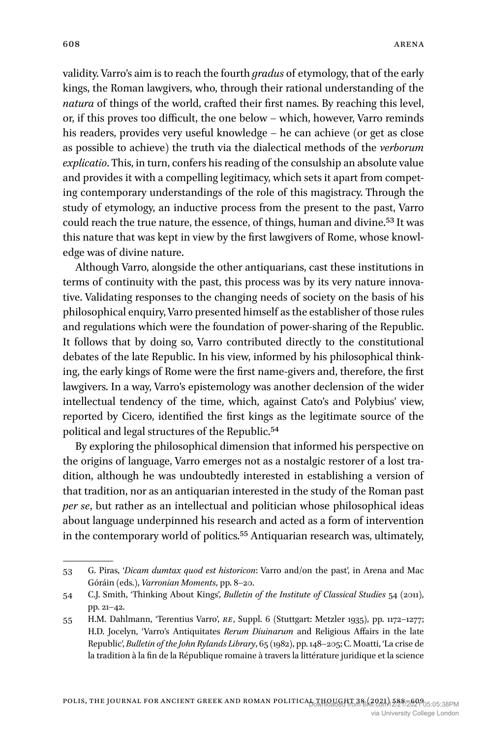validity. Varro's aim is to reach the fourth *gradus* of etymology, that of the early kings, the Roman lawgivers, who, through their rational understanding of the *natura* of things of the world, crafted their first names. By reaching this level, or, if this proves too difficult, the one below – which, however, Varro reminds his readers, provides very useful knowledge – he can achieve (or get as close as possible to achieve) the truth via the dialectical methods of the *verborum explicatio*. This, in turn, confers his reading of the consulship an absolute value and provides it with a compelling legitimacy, which sets it apart from competing contemporary understandings of the role of this magistracy. Through the study of etymology, an inductive process from the present to the past, Varro could reach the true nature, the essence, of things, human and divine.<sup>53</sup> It was this nature that was kept in view by the first lawgivers of Rome, whose knowledge was of divine nature.

Although Varro, alongside the other antiquarians, cast these institutions in terms of continuity with the past, this process was by its very nature innovative. Validating responses to the changing needs of society on the basis of his philosophical enquiry, Varro presented himself as the establisher of those rules and regulations which were the foundation of power-sharing of the Republic. It follows that by doing so, Varro contributed directly to the constitutional debates of the late Republic. In his view, informed by his philosophical thinking, the early kings of Rome were the first name-givers and, therefore, the first lawgivers. In a way, Varro's epistemology was another declension of the wider intellectual tendency of the time, which, against Cato's and Polybius' view, reported by Cicero, identified the first kings as the legitimate source of the political and legal structures of the Republic.54

By exploring the philosophical dimension that informed his perspective on the origins of language, Varro emerges not as a nostalgic restorer of a lost tradition, although he was undoubtedly interested in establishing a version of that tradition, nor as an antiquarian interested in the study of the Roman past *per se*, but rather as an intellectual and politician whose philosophical ideas about language underpinned his research and acted as a form of intervention in the contemporary world of politics.<sup>55</sup> Antiquarian research was, ultimately,

<sup>53</sup> G. Piras, '*Dicam dumtax quod est historicon*: Varro and/on the past', in Arena and Mac Góráin (eds.), *Varronian Moments*, pp. 8–20.

<sup>54</sup> C.J. Smith, 'Thinking About Kings', *Bulletin of the Institute of Classical Studies* 54 (2011), pp. 21–42.

<sup>55</sup> H.M. Dahlmann, 'Terentius Varro', *RE*, Suppl. 6 (Stuttgart: Metzler 1935), pp. 1172–1277; H.D. Jocelyn, 'Varro's Antiquitates *Rerum Diuinarum* and Religious Affairs in the late Republic', *Bulletin of the John Rylands Library*, 65 (1982), pp. 148–205; C. Moatti, 'La crise de la tradition à la fin de la République romaine à travers la littérature juridique et la science